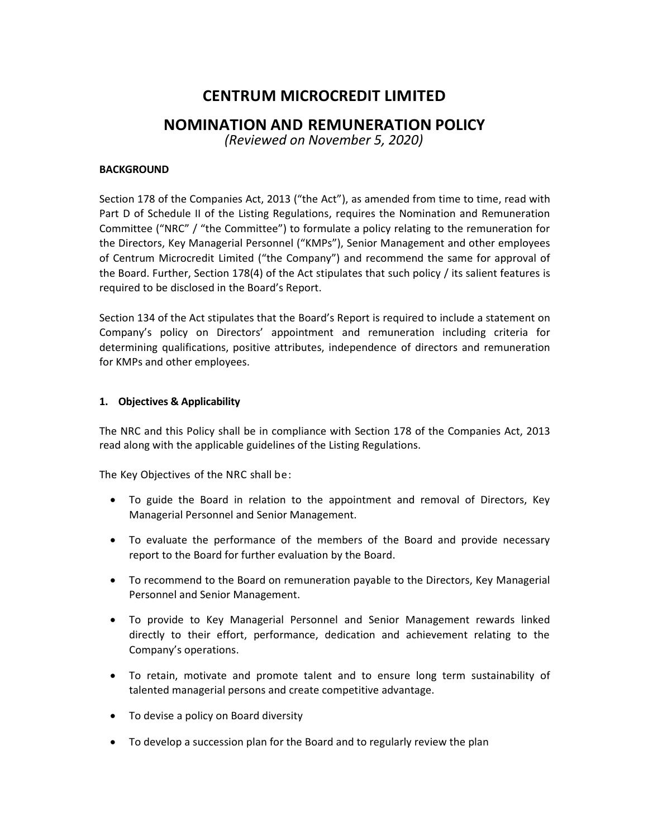# **CENTRUM MICROCREDIT LIMITED**

## **NOMINATION AND REMUNERATION POLICY**

*(Reviewed on November 5, 2020)*

#### **BACKGROUND**

Section 178 of the Companies Act, 2013 ("the Act"), as amended from time to time, read with Part D of Schedule II of the Listing Regulations, requires the Nomination and Remuneration Committee ("NRC" / "the Committee") to formulate a policy relating to the remuneration for the Directors, Key Managerial Personnel ("KMPs"), Senior Management and other employees of Centrum Microcredit Limited ("the Company") and recommend the same for approval of the Board. Further, Section 178(4) of the Act stipulates that such policy / its salient features is required to be disclosed in the Board's Report.

Section 134 of the Act stipulates that the Board's Report is required to include a statement on Company's policy on Directors' appointment and remuneration including criteria for determining qualifications, positive attributes, independence of directors and remuneration for KMPs and other employees.

#### **1. Objectives & Applicability**

The NRC and this Policy shall be in compliance with Section 178 of the Companies Act, 2013 read along with the applicable guidelines of the Listing Regulations.

The Key Objectives of the NRC shall be:

- To guide the Board in relation to the appointment and removal of Directors, Key Managerial Personnel and Senior Management.
- To evaluate the performance of the members of the Board and provide necessary report to the Board for further evaluation by the Board.
- To recommend to the Board on remuneration payable to the Directors, Key Managerial Personnel and Senior Management.
- To provide to Key Managerial Personnel and Senior Management rewards linked directly to their effort, performance, dedication and achievement relating to the Company's operations.
- To retain, motivate and promote talent and to ensure long term sustainability of talented managerial persons and create competitive advantage.
- To devise a policy on Board diversity
- To develop a succession plan for the Board and to regularly review the plan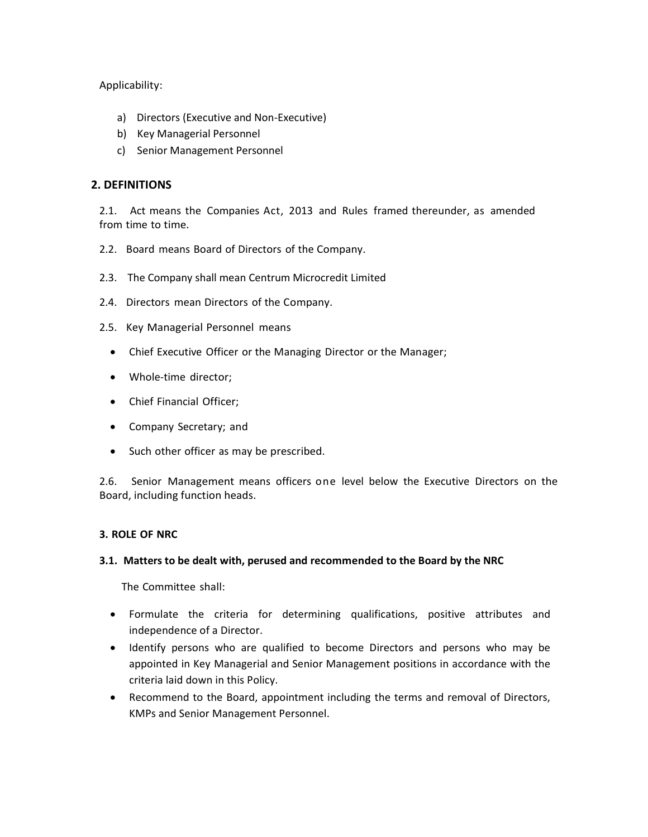Applicability:

- a) Directors (Executive and Non-Executive)
- b) Key Managerial Personnel
- c) Senior Management Personnel

## **2. DEFINITIONS**

2.1. Act means the Companies Act, 2013 and Rules framed thereunder, as amended from time to time.

- 2.2. Board means Board of Directors of the Company.
- 2.3. The Company shall mean Centrum Microcredit Limited
- 2.4. Directors mean Directors of the Company.
- 2.5. Key Managerial Personnel means
	- Chief Executive Officer or the Managing Director or the Manager;
	- Whole-time director;
	- Chief Financial Officer;
	- Company Secretary; and
	- Such other officer as may be prescribed.

2.6. Senior Management means officers one level below the Executive Directors on the Board, including function heads.

### **3. ROLE OF NRC**

#### **3.1. Matters to be dealt with, perused and recommended to the Board by the NRC**

The Committee shall:

- Formulate the criteria for determining qualifications, positive attributes and independence of a Director.
- Identify persons who are qualified to become Directors and persons who may be appointed in Key Managerial and Senior Management positions in accordance with the criteria laid down in this Policy.
- Recommend to the Board, appointment including the terms and removal of Directors, KMPs and Senior Management Personnel.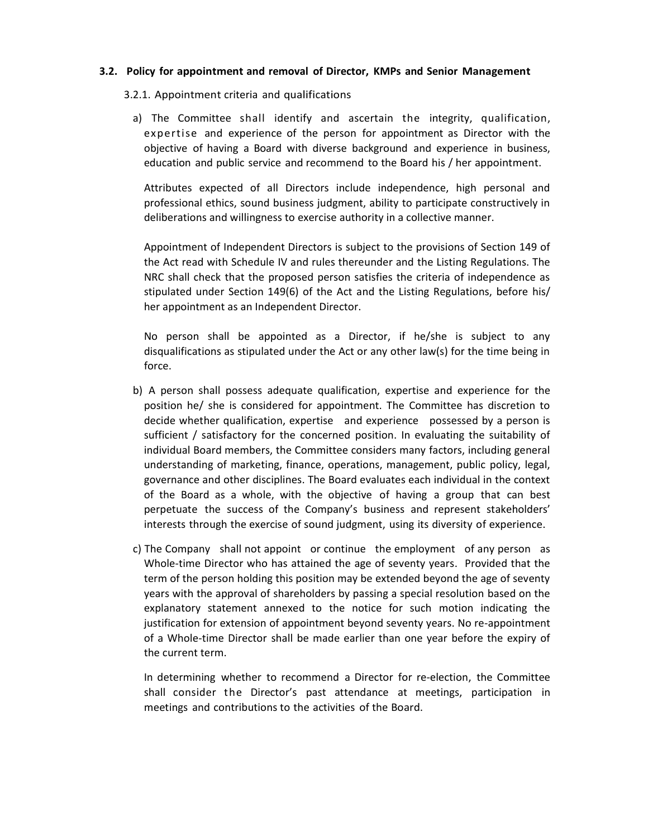#### **3.2. Policy for appointment and removal of Director, KMPs and Senior Management**

#### 3.2.1. Appointment criteria and qualifications

a) The Committee shall identify and ascertain the integrity, qualification, expertise and experience of the person for appointment as Director with the objective of having a Board with diverse background and experience in business, education and public service and recommend to the Board his / her appointment.

Attributes expected of all Directors include independence, high personal and professional ethics, sound business judgment, ability to participate constructively in deliberations and willingness to exercise authority in a collective manner.

Appointment of Independent Directors is subject to the provisions of Section 149 of the Act read with Schedule IV and rules thereunder and the Listing Regulations. The NRC shall check that the proposed person satisfies the criteria of independence as stipulated under Section 149(6) of the Act and the Listing Regulations, before his/ her appointment as an Independent Director.

No person shall be appointed as a Director, if he/she is subject to any disqualifications as stipulated under the Act or any other law(s) for the time being in force.

- b) A person shall possess adequate qualification, expertise and experience for the position he/ she is considered for appointment. The Committee has discretion to decide whether qualification, expertise and experience possessed by a person is sufficient / satisfactory for the concerned position. In evaluating the suitability of individual Board members, the Committee considers many factors, including general understanding of marketing, finance, operations, management, public policy, legal, governance and other disciplines. The Board evaluates each individual in the context of the Board as a whole, with the objective of having a group that can best perpetuate the success of the Company's business and represent stakeholders' interests through the exercise of sound judgment, using its diversity of experience.
- c) The Company shall not appoint or continue the employment of any person as Whole-time Director who has attained the age of seventy years. Provided that the term of the person holding this position may be extended beyond the age of seventy years with the approval of shareholders by passing a special resolution based on the explanatory statement annexed to the notice for such motion indicating the justification for extension of appointment beyond seventy years. No re-appointment of a Whole-time Director shall be made earlier than one year before the expiry of the current term.

In determining whether to recommend a Director for re-election, the Committee shall consider the Director's past attendance at meetings, participation in meetings and contributions to the activities of the Board.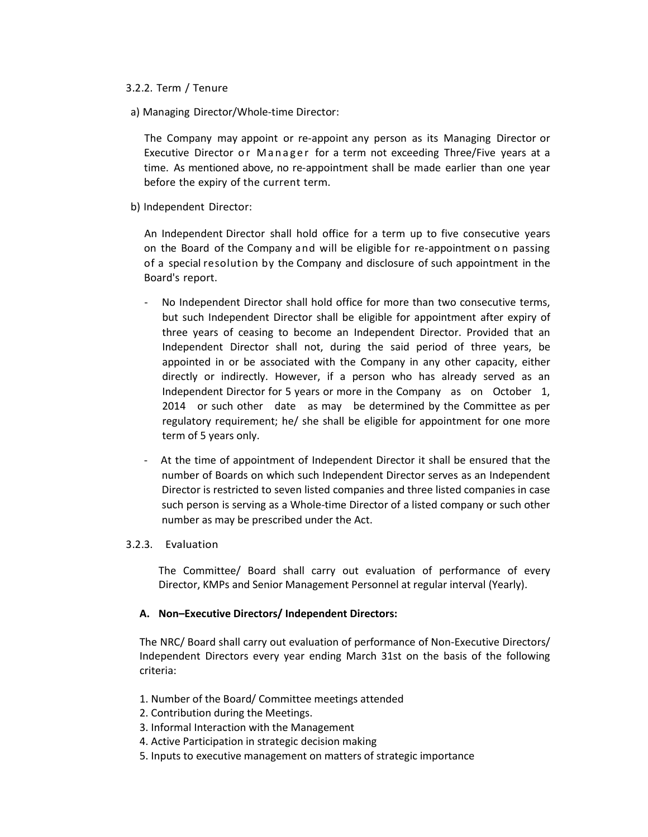#### 3.2.2. Term / Tenure

a) Managing Director/Whole-time Director:

The Company may appoint or re-appoint any person as its Managing Director or Executive Director or Manager for a term not exceeding Three/Five years at a time. As mentioned above, no re-appointment shall be made earlier than one year before the expiry of the current term.

b) Independent Director:

An Independent Director shall hold office for a term up to five consecutive years on the Board of the Company and will be eligible for re-appointment o n passing of a special resolution by the Company and disclosure of such appointment in the Board's report.

- No Independent Director shall hold office for more than two consecutive terms, but such Independent Director shall be eligible for appointment after expiry of three years of ceasing to become an Independent Director. Provided that an Independent Director shall not, during the said period of three years, be appointed in or be associated with the Company in any other capacity, either directly or indirectly. However, if a person who has already served as an Independent Director for 5 years or more in the Company as on October 1, 2014 or such other date as may be determined by the Committee as per regulatory requirement; he/ she shall be eligible for appointment for one more term of 5 years only.
- At the time of appointment of Independent Director it shall be ensured that the number of Boards on which such Independent Director serves as an Independent Director is restricted to seven listed companies and three listed companies in case such person is serving as a Whole-time Director of a listed company or such other number as may be prescribed under the Act.

#### 3.2.3. Evaluation

The Committee/ Board shall carry out evaluation of performance of every Director, KMPs and Senior Management Personnel at regular interval (Yearly).

#### **A. Non–Executive Directors/ Independent Directors:**

The NRC/ Board shall carry out evaluation of performance of Non-Executive Directors/ Independent Directors every year ending March 31st on the basis of the following criteria:

- 1. Number of the Board/ Committee meetings attended
- 2. Contribution during the Meetings.
- 3. Informal Interaction with the Management
- 4. Active Participation in strategic decision making
- 5. Inputs to executive management on matters of strategic importance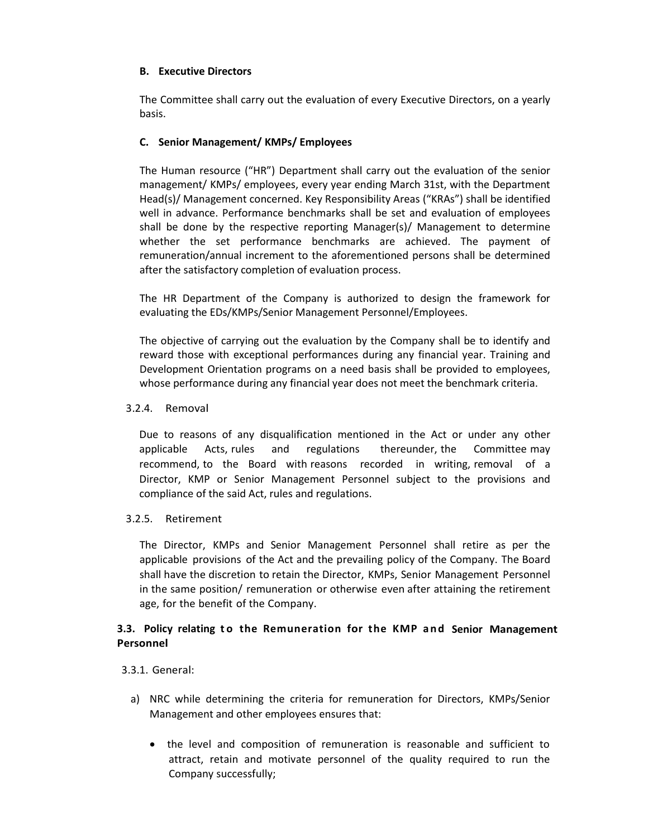## **B. Executive Directors**

The Committee shall carry out the evaluation of every Executive Directors, on a yearly basis.

## **C. Senior Management/ KMPs/ Employees**

The Human resource ("HR") Department shall carry out the evaluation of the senior management/ KMPs/ employees, every year ending March 31st, with the Department Head(s)/ Management concerned. Key Responsibility Areas ("KRAs") shall be identified well in advance. Performance benchmarks shall be set and evaluation of employees shall be done by the respective reporting Manager(s)/ Management to determine whether the set performance benchmarks are achieved. The payment of remuneration/annual increment to the aforementioned persons shall be determined after the satisfactory completion of evaluation process.

The HR Department of the Company is authorized to design the framework for evaluating the EDs/KMPs/Senior Management Personnel/Employees.

The objective of carrying out the evaluation by the Company shall be to identify and reward those with exceptional performances during any financial year. Training and Development Orientation programs on a need basis shall be provided to employees, whose performance during any financial year does not meet the benchmark criteria.

#### 3.2.4. Removal

Due to reasons of any disqualification mentioned in the Act or under any other applicable Acts, rules and regulations thereunder, the Committee may recommend, to the Board with reasons recorded in writing, removal of a Director, KMP or Senior Management Personnel subject to the provisions and compliance of the said Act, rules and regulations.

#### 3.2.5. Retirement

The Director, KMPs and Senior Management Personnel shall retire as per the applicable provisions of the Act and the prevailing policy of the Company. The Board shall have the discretion to retain the Director, KMPs, Senior Management Personnel in the same position/ remuneration or otherwise even after attaining the retirement age, for the benefit of the Company.

## **3.3. Policy relating t o the Remuneration for the KMP and Senior Management Personnel**

#### 3.3.1. General:

- a) NRC while determining the criteria for remuneration for Directors, KMPs/Senior Management and other employees ensures that:
	- the level and composition of remuneration is reasonable and sufficient to attract, retain and motivate personnel of the quality required to run the Company successfully;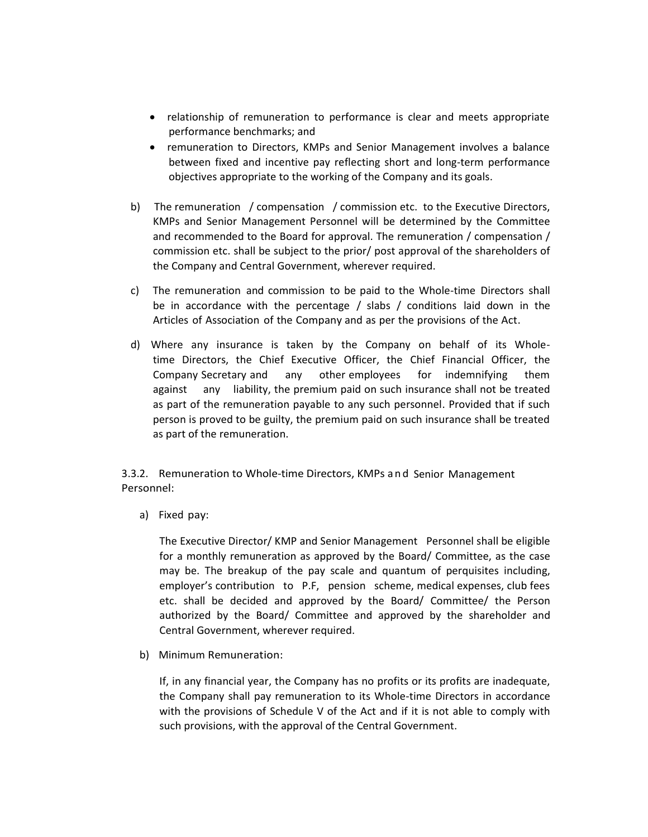- relationship of remuneration to performance is clear and meets appropriate performance benchmarks; and
- remuneration to Directors, KMPs and Senior Management involves a balance between fixed and incentive pay reflecting short and long-term performance objectives appropriate to the working of the Company and its goals.
- b) The remuneration / compensation / commission etc. to the Executive Directors, KMPs and Senior Management Personnel will be determined by the Committee and recommended to the Board for approval. The remuneration / compensation / commission etc. shall be subject to the prior/ post approval of the shareholders of the Company and Central Government, wherever required.
- c) The remuneration and commission to be paid to the Whole-time Directors shall be in accordance with the percentage / slabs / conditions laid down in the Articles of Association of the Company and as per the provisions of the Act.
- d) Where any insurance is taken by the Company on behalf of its Wholetime Directors, the Chief Executive Officer, the Chief Financial Officer, the Company Secretary and any other employees for indemnifying them against any liability, the premium paid on such insurance shall not be treated as part of the remuneration payable to any such personnel. Provided that if such person is proved to be guilty, the premium paid on such insurance shall be treated as part of the remuneration.

3.3.2. Remuneration to Whole-time Directors, KMPs and Senior Management Personnel:

a) Fixed pay:

The Executive Director/ KMP and Senior Management Personnel shall be eligible for a monthly remuneration as approved by the Board/ Committee, as the case may be. The breakup of the pay scale and quantum of perquisites including, employer's contribution to P.F, pension scheme, medical expenses, club fees etc. shall be decided and approved by the Board/ Committee/ the Person authorized by the Board/ Committee and approved by the shareholder and Central Government, wherever required.

b) Minimum Remuneration:

If, in any financial year, the Company has no profits or its profits are inadequate, the Company shall pay remuneration to its Whole-time Directors in accordance with the provisions of Schedule V of the Act and if it is not able to comply with such provisions, with the approval of the Central Government.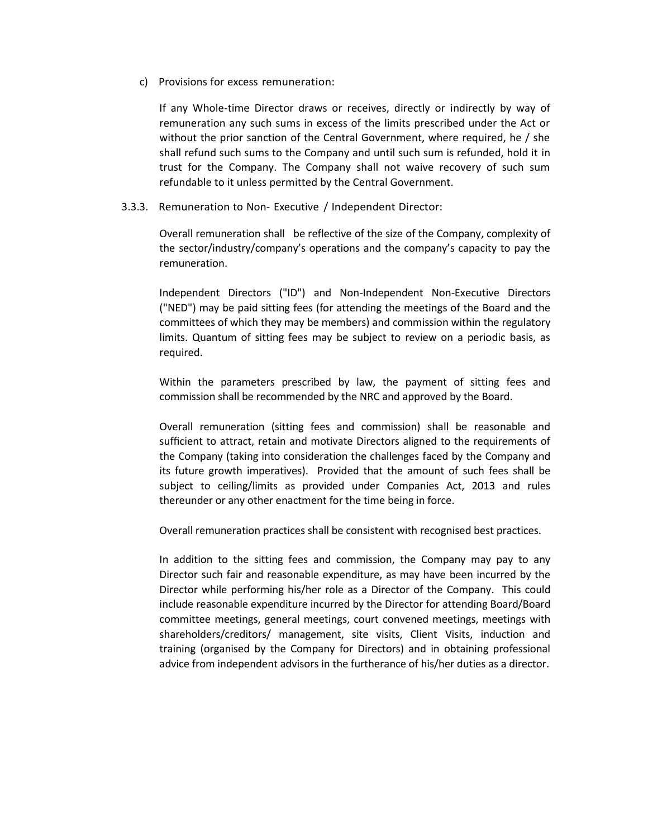c) Provisions for excess remuneration:

If any Whole-time Director draws or receives, directly or indirectly by way of remuneration any such sums in excess of the limits prescribed under the Act or without the prior sanction of the Central Government, where required, he / she shall refund such sums to the Company and until such sum is refunded, hold it in trust for the Company. The Company shall not waive recovery of such sum refundable to it unless permitted by the Central Government.

3.3.3. Remuneration to Non- Executive / Independent Director:

Overall remuneration shall be reflective of the size of the Company, complexity of the sector/industry/company's operations and the company's capacity to pay the remuneration.

Independent Directors ("ID") and Non-Independent Non-Executive Directors ("NED") may be paid sitting fees (for attending the meetings of the Board and the committees of which they may be members) and commission within the regulatory limits. Quantum of sitting fees may be subject to review on a periodic basis, as required.

Within the parameters prescribed by law, the payment of sitting fees and commission shall be recommended by the NRC and approved by the Board.

Overall remuneration (sitting fees and commission) shall be reasonable and sufficient to attract, retain and motivate Directors aligned to the requirements of the Company (taking into consideration the challenges faced by the Company and its future growth imperatives). Provided that the amount of such fees shall be subject to ceiling/limits as provided under Companies Act, 2013 and rules thereunder or any other enactment for the time being in force.

Overall remuneration practices shall be consistent with recognised best practices.

In addition to the sitting fees and commission, the Company may pay to any Director such fair and reasonable expenditure, as may have been incurred by the Director while performing his/her role as a Director of the Company. This could include reasonable expenditure incurred by the Director for attending Board/Board committee meetings, general meetings, court convened meetings, meetings with shareholders/creditors/ management, site visits, Client Visits, induction and training (organised by the Company for Directors) and in obtaining professional advice from independent advisors in the furtherance of his/her duties as a director.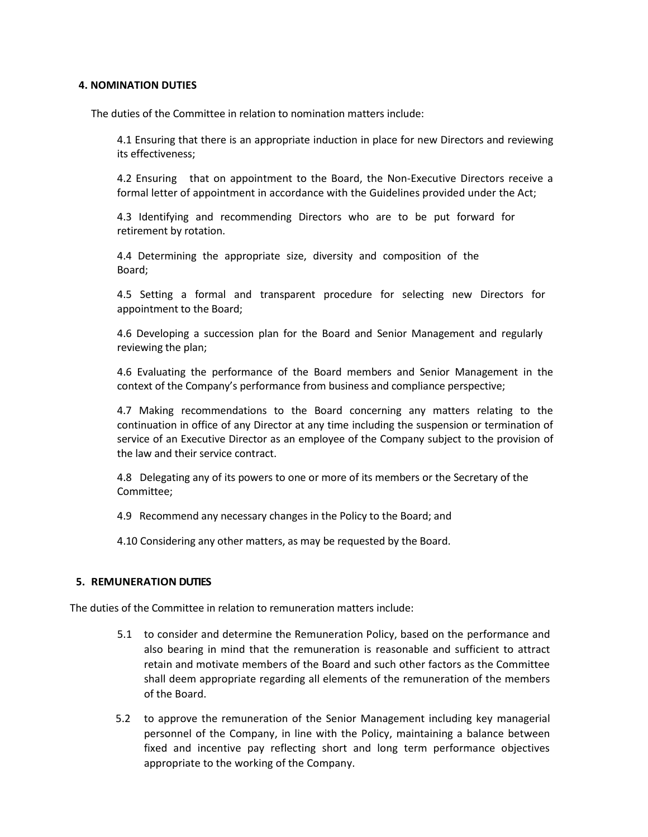#### **4. NOMINATION DUTIES**

The duties of the Committee in relation to nomination matters include:

4.1 Ensuring that there is an appropriate induction in place for new Directors and reviewing its effectiveness;

4.2 Ensuring that on appointment to the Board, the Non-Executive Directors receive a formal letter of appointment in accordance with the Guidelines provided under the Act;

4.3 Identifying and recommending Directors who are to be put forward for retirement by rotation.

4.4 Determining the appropriate size, diversity and composition of the Board;

4.5 Setting a formal and transparent procedure for selecting new Directors for appointment to the Board;

4.6 Developing a succession plan for the Board and Senior Management and regularly reviewing the plan;

4.6 Evaluating the performance of the Board members and Senior Management in the context of the Company's performance from business and compliance perspective;

4.7 Making recommendations to the Board concerning any matters relating to the continuation in office of any Director at any time including the suspension or termination of service of an Executive Director as an employee of the Company subject to the provision of the law and their service contract.

4.8 Delegating any of its powers to one or more of its members or the Secretary of the Committee;

4.9 Recommend any necessary changes in the Policy to the Board; and

4.10 Considering any other matters, as may be requested by the Board.

#### **5. REMUNERATION DUTIES**

The duties of the Committee in relation to remuneration matters include:

- 5.1 to consider and determine the Remuneration Policy, based on the performance and also bearing in mind that the remuneration is reasonable and sufficient to attract retain and motivate members of the Board and such other factors as the Committee shall deem appropriate regarding all elements of the remuneration of the members of the Board.
- 5.2 to approve the remuneration of the Senior Management including key managerial personnel of the Company, in line with the Policy, maintaining a balance between fixed and incentive pay reflecting short and long term performance objectives appropriate to the working of the Company.